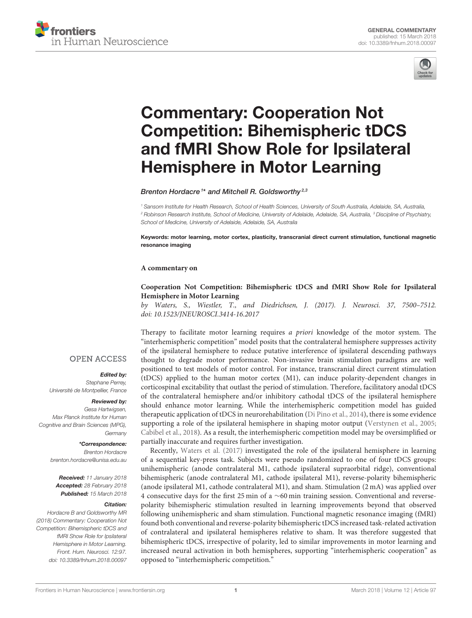



# Commentary: Cooperation Not Competition: Bihemispheric tDCS [and fMRI Show Role for Ipsilateral](https://www.frontiersin.org/articles/10.3389/fnhum.2018.00097/full) Hemisphere in Motor Learning

[Brenton Hordacre](http://loop.frontiersin.org/people/186533/overview)<sup>1\*</sup> and [Mitchell R. Goldsworthy](http://loop.frontiersin.org/people/311690/overview)<sup>2,3</sup>

<sup>1</sup> Sansom Institute for Health Research, School of Health Sciences, University of South Australia, Adelaide, SA, Australia, <sup>2</sup> Robinson Research Institute, School of Medicine, University of Adelaide, Adelaide, SA, Australia, <sup>3</sup> Discipline of Psychiatry, School of Medicine, University of Adelaide, Adelaide, SA, Australia

Keywords: motor learning, motor cortex, plasticity, transcranial direct current stimulation, functional magnetic resonance imaging

#### **A commentary on**

## **Cooperation Not Competition: Bihemispheric tDCS and fMRI Show Role for Ipsilateral Hemisphere in Motor Learning**

by Waters, S., Wiestler, T., and Diedrichsen, J. (2017). J. Neurosci. 37, 7500–7512. doi: [10.1523/JNEUROSCI.3414-16.2017](https://doi.org/10.1523/JNEUROSCI.3414-16.2017)

Therapy to facilitate motor learning requires a priori knowledge of the motor system. The

"interhemispheric competition" model posits that the contralateral hemisphere suppresses activity of the ipsilateral hemisphere to reduce putative interference of ipsilateral descending pathways thought to degrade motor performance. Non-invasive brain stimulation paradigms are well positioned to test models of motor control. For instance, transcranial direct current stimulation (tDCS) applied to the human motor cortex (M1), can induce polarity-dependent changes in corticospinal excitability that outlast the period of stimulation. Therefore, facilitatory anodal tDCS of the contralateral hemisphere and/or inhibitory cathodal tDCS of the ipsilateral hemisphere should enhance motor learning. While the interhemispheric competition model has guided therapeutic application of tDCS in neurorehabilitation [\(Di Pino et al., 2014\)](#page-2-0), there is some evidence supporting a role of the ipsilateral hemisphere in shaping motor output [\(Verstynen et al., 2005;](#page-2-1) [Cabibel et al., 2018\)](#page-2-2). As a result, the interhemispheric competition model may be oversimplified or

partially inaccurate and requires further investigation. Recently, [Waters et al. \(2017\)](#page-2-3) investigated the role of the ipsilateral hemisphere in learning of a sequential key-press task. Subjects were pseudo randomized to one of four tDCS groups: unihemispheric (anode contralateral M1, cathode ipsilateral supraorbital ridge), conventional bihemispheric (anode contralateral M1, cathode ipsilateral M1), reverse-polarity bihemispheric (anode ipsilateral M1, cathode contralateral M1), and sham. Stimulation (2 mA) was applied over 4 consecutive days for the first 25 min of a ∼60 min training session. Conventional and reversepolarity bihemispheric stimulation resulted in learning improvements beyond that observed following unihemispheric and sham stimulation. Functional magnetic resonance imaging (fMRI) found both conventional and reverse-polarity bihemispheric tDCS increased task-related activation of contralateral and ipsilateral hemispheres relative to sham. It was therefore suggested that bihemispheric tDCS, irrespective of polarity, led to similar improvements in motor learning and increased neural activation in both hemispheres, supporting "interhemispheric cooperation" as opposed to "interhemispheric competition."

### **OPEN ACCESS**

#### Edited by:

Stephane Perrey, Université de Montpellier, France

#### Reviewed by:

Gesa Hartwigsen, Max Planck Institute for Human Cognitive and Brain Sciences (MPG), Germany

#### \*Correspondence:

Brenton Hordacre [brenton.hordacre@unisa.edu.au](mailto:brenton.hordacre@unisa.edu.au)

Received: 11 January 2018 Accepted: 28 February 2018 Published: 15 March 2018

#### Citation:

Hordacre B and Goldsworthy MR (2018) Commentary: Cooperation Not Competition: Bihemispheric tDCS and fMRI Show Role for Ipsilateral Hemisphere in Motor Learning. Front. Hum. Neurosci. 12:97. doi: [10.3389/fnhum.2018.00097](https://doi.org/10.3389/fnhum.2018.00097)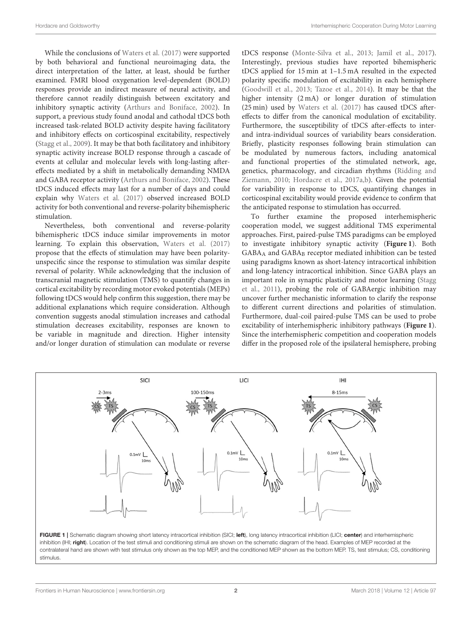While the conclusions of [Waters et al. \(2017\)](#page-2-3) were supported by both behavioral and functional neuroimaging data, the direct interpretation of the latter, at least, should be further examined. FMRI blood oxygenation level-dependent (BOLD) responses provide an indirect measure of neural activity, and therefore cannot readily distinguish between excitatory and inhibitory synaptic activity [\(Arthurs and Boniface, 2002\)](#page-2-4). In support, a previous study found anodal and cathodal tDCS both increased task-related BOLD activity despite having facilitatory and inhibitory effects on corticospinal excitability, respectively [\(Stagg et al., 2009\)](#page-2-5). It may be that both facilitatory and inhibitory synaptic activity increase BOLD response through a cascade of events at cellular and molecular levels with long-lasting aftereffects mediated by a shift in metabolically demanding NMDA and GABA receptor activity [\(Arthurs and Boniface, 2002\)](#page-2-4). These tDCS induced effects may last for a number of days and could explain why [Waters et al. \(2017\)](#page-2-3) observed increased BOLD activity for both conventional and reverse-polarity bihemispheric stimulation.

Nevertheless, both conventional and reverse-polarity bihemispheric tDCS induce similar improvements in motor learning. To explain this observation, [Waters et al. \(2017\)](#page-2-3) propose that the effects of stimulation may have been polarityunspecific since the response to stimulation was similar despite reversal of polarity. While acknowledging that the inclusion of transcranial magnetic stimulation (TMS) to quantify changes in cortical excitability by recording motor evoked potentials (MEPs) following tDCS would help confirm this suggestion, there may be additional explanations which require consideration. Although convention suggests anodal stimulation increases and cathodal stimulation decreases excitability, responses are known to be variable in magnitude and direction. Higher intensity and/or longer duration of stimulation can modulate or reverse tDCS response [\(Monte-Silva et al., 2013;](#page-2-6) [Jamil et al., 2017\)](#page-2-7). Interestingly, previous studies have reported bihemispheric tDCS applied for 15 min at 1–1.5 mA resulted in the expected polarity specific modulation of excitability in each hemisphere [\(Goodwill et al., 2013;](#page-2-8) [Tazoe et al., 2014\)](#page-2-9). It may be that the higher intensity (2 mA) or longer duration of stimulation (25 min) used by [Waters et al. \(2017\)](#page-2-3) has caused tDCS aftereffects to differ from the canonical modulation of excitability. Furthermore, the susceptibility of tDCS after-effects to interand intra-individual sources of variability bears consideration. Briefly, plasticity responses following brain stimulation can be modulated by numerous factors, including anatomical and functional properties of the stimulated network, age, genetics, pharmacology, and circadian rhythms (Ridding and Ziemann, [2010;](#page-2-10) [Hordacre et al., 2017a,](#page-2-11)[b\)](#page-2-12). Given the potential for variability in response to tDCS, quantifying changes in corticospinal excitability would provide evidence to confirm that the anticipated response to stimulation has occurred.

To further examine the proposed interhemispheric cooperation model, we suggest additional TMS experimental approaches. First, paired-pulse TMS paradigms can be employed to investigate inhibitory synaptic activity (**[Figure 1](#page-1-0)**). Both GABA<sub>A</sub> and GABA<sub>B</sub> receptor mediated inhibition can be tested using paradigms known as short-latency intracortical inhibition and long-latency intracortical inhibition. Since GABA plays an important role in synaptic plasticity and motor learning (Stagg et al., [2011\)](#page-2-13), probing the role of GABAergic inhibition may uncover further mechanistic information to clarify the response to different current directions and polarities of stimulation. Furthermore, dual-coil paired-pulse TMS can be used to probe excitability of interhemispheric inhibitory pathways (**[Figure 1](#page-1-0)**). Since the interhemispheric competition and cooperation models differ in the proposed role of the ipsilateral hemisphere, probing



<span id="page-1-0"></span>FIGURE 1 | Schematic diagram showing short latency intracortical inhibition (SICI; left), long latency intracortical inhibition (LICI; center) and interhemispheric inhibition (IHI; right). Location of the test stimuli and conditioning stimuli are shown on the schematic diagram of the head. Examples of MEP recorded at the contralateral hand are shown with test stimulus only shown as the top MEP, and the conditioned MEP shown as the bottom MEP. TS, test stimulus; CS, conditioning stimulus.